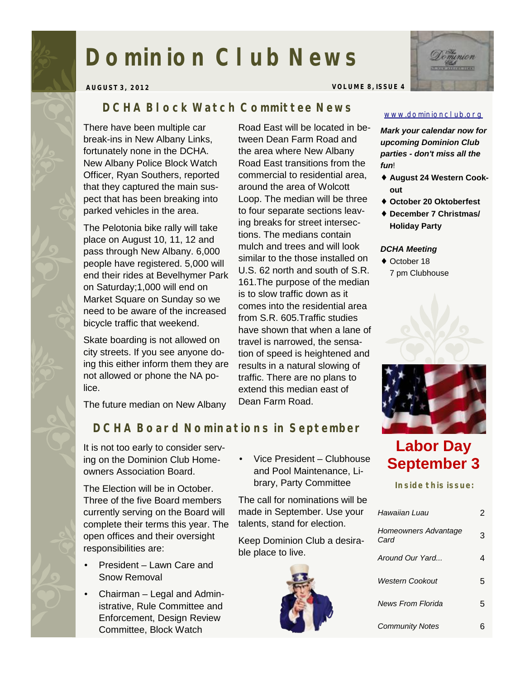# **Dominion Club News**



**AUGUST 3, 2012 VOLUME 8, ISSUE 4** 

### *DCHA Block Watch Committee News*

There have been multiple car break-ins in New Albany Links, fortunately none in the DCHA. New Albany Police Block Watch Officer, Ryan Southers, reported that they captured the main suspect that has been breaking into parked vehicles in the area.

The Pelotonia bike rally will take place on August 10, 11, 12 and pass through New Albany. 6,000 people have registered. 5,000 will end their rides at Bevelhymer Park on Saturday;1,000 will end on Market Square on Sunday so we need to be aware of the increased bicycle traffic that weekend.

Skate boarding is not allowed on city streets. If you see anyone doing this either inform them they are not allowed or phone the NA police.

The future median on New Albany

Road East will be located in between Dean Farm Road and the area where New Albany Road East transitions from the commercial to residential area, around the area of Wolcott Loop. The median will be three to four separate sections leaving breaks for street intersections. The medians contain mulch and trees and will look similar to the those installed on U.S. 62 north and south of S.R. 161.The purpose of the median is to slow traffic down as it comes into the residential area from S.R. 605.Traffic studies have shown that when a lane of travel is narrowed, the sensation of speed is heightened and results in a natural slowing of traffic. There are no plans to extend this median east of Dean Farm Road.

#### [www.dominionclub.org](http://www.dominionclub.org)

*Mark your calendar now for upcoming Dominion Club parties - don't miss all the fun*!

- ♦ **August 24 Western Cookout**
- ♦ **October 20 Oktoberfest**
- ♦ **December 7 Christmas/ Holiday Party**

#### *DCHA Meeting*

♦ October 18 7 pm Clubhouse





# **Labor Day September 3**

**Inside this issue:** 

| Hawaiian Luau                |   |
|------------------------------|---|
| Homeowners Advantage<br>Card | 3 |
| Around Our Yard              |   |
| Western Cookout              | 5 |
| News From Florida            | 5 |
| <b>Community Notes</b>       |   |

## *DCHA Board Nominations in September*

It is not too early to consider serving on the Dominion Club Homeowners Association Board.

The Election will be in October. Three of the five Board members currently serving on the Board will complete their terms this year. The open offices and their oversight responsibilities are:

- President Lawn Care and Snow Removal
- Chairman Legal and Administrative, Rule Committee and Enforcement, Design Review Committee, Block Watch

• Vice President – Clubhouse and Pool Maintenance, Library, Party Committee

The call for nominations will be made in September. Use your talents, stand for election.

Keep Dominion Club a desirable place to live.

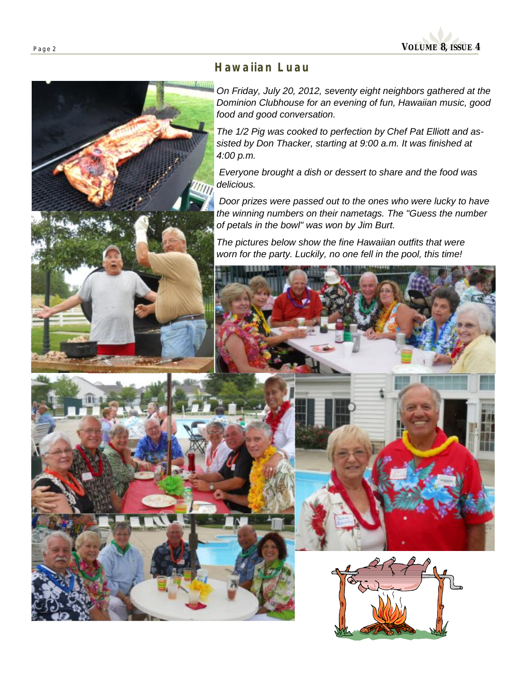

#### *Hawaiian Luau*

*On Friday, July 20, 2012, seventy eight neighbors gathered at the Dominion Clubhouse for an evening of fun, Hawaiian music, good food and good conversation.* 

*The 1/2 Pig was cooked to perfection by Chef Pat Elliott and assisted by Don Thacker, starting at 9:00 a.m. It was finished at 4:00 p.m.* 

*Everyone brought a dish or dessert to share and the food was delicious.* 

 *Door prizes were passed out to the ones who were lucky to have the winning numbers on their nametags. The "Guess the number of petals in the bowl" was won by Jim Burt.* 

*The pictures below show the fine Hawaiian outfits that were worn for the party. Luckily, no one fell in the pool, this time!* 

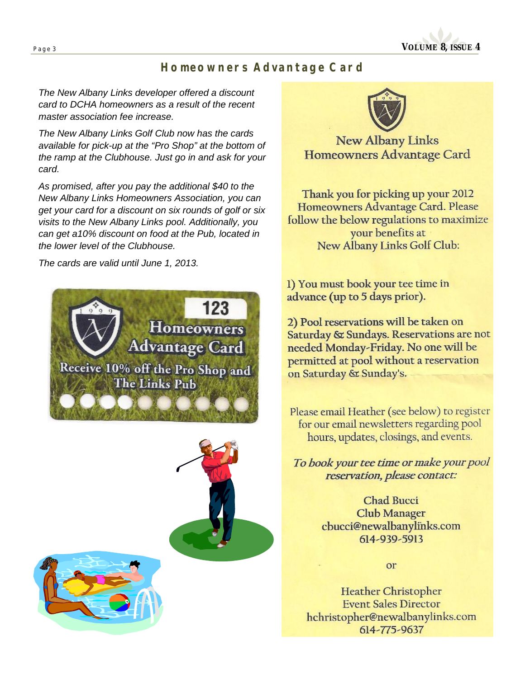

#### *Homeowners Advantage Card*

*The New Albany Links developer offered a discount card to DCHA homeowners as a result of the recent master association fee increase.* 

*The New Albany Links Golf Club now has the cards available for pick-up at the "Pro Shop" at the bottom of the ramp at the Clubhouse. Just go in and ask for your card.* 

*As promised, after you pay the additional \$40 to the New Albany Links Homeowners Association, you can get your card for a discount on six rounds of golf or six visits to the New Albany Links pool. Additionally, you can get a10% discount on food at the Pub, located in the lower level of the Clubhouse.* 

*The cards are valid until June 1, 2013.* 









**New Albany Links** Homeowners Advantage Card

Thank you for picking up your 2012 Homeowners Advantage Card. Please follow the below regulations to maximize your benefits at New Albany Links Golf Club:

1) You must book your tee time in advance (up to 5 days prior).

2) Pool reservations will be taken on Saturday & Sundays. Reservations are not needed Monday-Friday. No one will be permitted at pool without a reservation on Saturday & Sunday's.

Please email Heather (see below) to register for our email newsletters regarding pool hours, updates, closings, and events.

To book your tee time or make your pool reservation, please contact:

> **Chad Bucci Club Manager** cbucci@newalbanylinks.com 614-939-5913

> > or

**Heather Christopher Event Sales Director** hchristopher@newalbanylinks.com 614-775-9637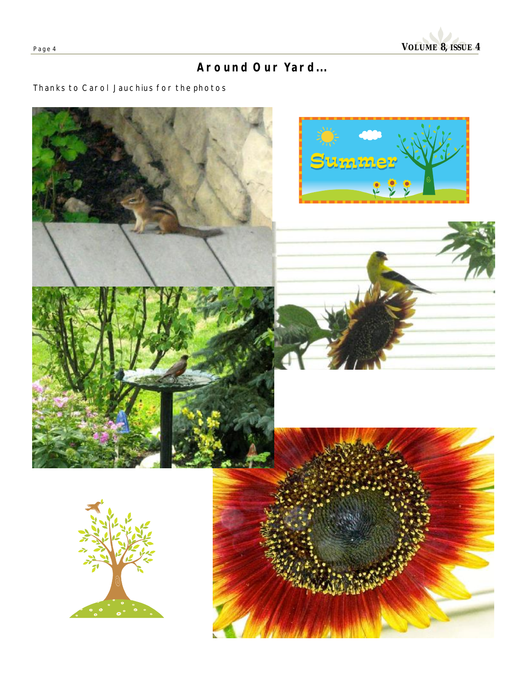

# *Around Our Yard...*

#### Thanks to Carol Jauchius for the photos

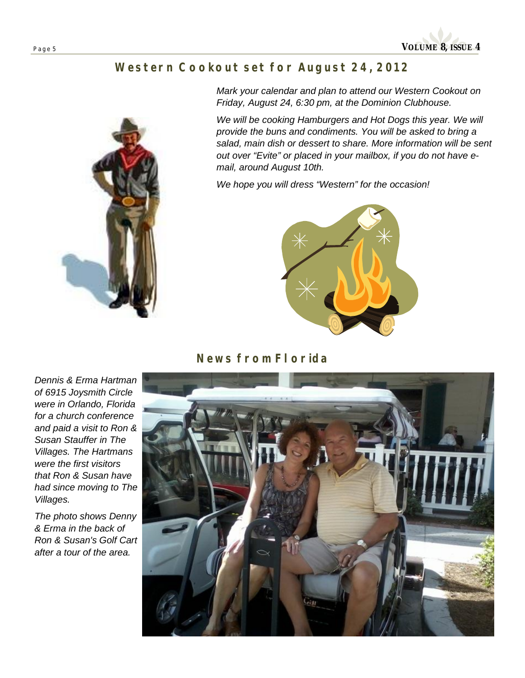

## *Western Cookout set for August 24, 2012*



*Mark your calendar and plan to attend our Western Cookout on Friday, August 24, 6:30 pm, at the Dominion Clubhouse.* 

*We will be cooking Hamburgers and Hot Dogs this year. We will provide the buns and condiments. You will be asked to bring a salad, main dish or dessert to share. More information will be sent out over "Evite" or placed in your mailbox, if you do not have email, around August 10th.* 

*We hope you will dress "Western" for the occasion!* 



#### *News from Florida*

*Dennis & Erma Hartman of 6915 Joysmith Circle were in Orlando, Florida for a church conference and paid a visit to Ron & Susan Stauffer in The Villages. The Hartmans were the first visitors that Ron & Susan have had since moving to The Villages.* 

*The photo shows Denny & Erma in the back of Ron & Susan's Golf Cart after a tour of the area.*